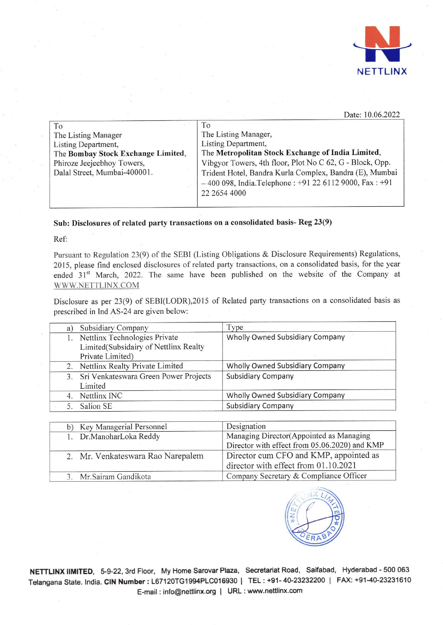

## Date: 10.06.2022

| To                                 | To                                                       |
|------------------------------------|----------------------------------------------------------|
| The Listing Manager                | The Listing Manager,                                     |
| Listing Department,                | Listing Department,                                      |
| The Bombay Stock Exchange Limited, | The Metropolitan Stock Exchange of India Limited,        |
| Phiroze Jeejeebhoy Towers,         | Vibgyor Towers, 4th floor, Plot No C 62, G - Block, Opp. |
| Dalal Street, Mumbai-400001.       | Trident Hotel, Bandra Kurla Complex, Bandra (E), Mumbai  |
|                                    | $-400098$ , India. Telephone: +91 22 6112 9000, Fax: +91 |
|                                    | 22 2654 4000                                             |
|                                    |                                                          |

Sub: Disclosures of related party transactions on a consolidated basis- Reg 23(9)

Ref:

Pursuant to Regulation 23(9) of the SEBI (Listing Obligations & Disclosure Requirements) Regulations, 2015, please find enclosed disclosures of related party transactions, on a consolidated basis, for the year ended 31<sup>st</sup> March, 2022. The same have been published on the website of the Company at WWW.NETTLINX.COM

Disclosure as per 23(9) of SEBI(LODR),2015 of Related party transactions on a consolidated basis as prescribed in Ind AS-24 are given below:

| a) | <b>Subsidiary Company</b>                | Type                                   |
|----|------------------------------------------|----------------------------------------|
|    | Nettlinx Technologies Private            | Wholly Owned Subsidiary Company        |
|    | Limited(Subsidairy of Nettlinx Realty    |                                        |
|    | Private Limited)                         |                                        |
|    | 2. Nettlinx Realty Private Limited       | <b>Wholly Owned Subsidiary Company</b> |
|    | 3. Sri Venkateswara Green Power Projects | <b>Subsidiary Company</b>              |
|    | Limited                                  |                                        |
|    | Nettlinx INC                             | Wholly Owned Subsidiary Company        |
|    | Salion SE                                | <b>Subsidiary Company</b>              |

|  | b) Key Managerial Personnel       | Designation                                   |  |
|--|-----------------------------------|-----------------------------------------------|--|
|  | 1. Dr.ManoharLoka Reddy           | Managing Director(Appointed as Managing       |  |
|  |                                   | Director with effect from 05.06.2020) and KMP |  |
|  | 2. Mr. Venkateswara Rao Narepalem | Director cum CFO and KMP, appointed as        |  |
|  |                                   | director with effect from 01.10.2021          |  |
|  | 3. Mr. Sairam Gandikota           | Company Secretary & Compliance Officer        |  |
|  |                                   |                                               |  |



NETTLINX IIMITED, 5-9-22, 3rd Floor, My Home Sarovar Plaza, Secretariat Road, Saifabad, Hyderabad - 500 063 Telangana State. India. CIN Number : L67120TG1994PLC016930 | TEL : +91- 40-23232200 | FAX: +91-40-23231610 E-mail : info@nettlinx.org | URL : www.nettlinx.com